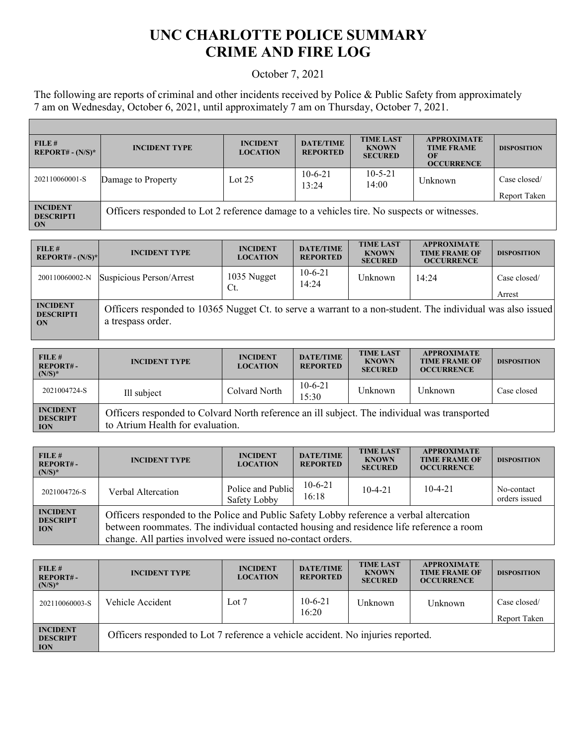## **UNC CHARLOTTE POLICE SUMMARY CRIME AND FIRE LOG**

## October 7, 2021

The following are reports of criminal and other incidents received by Police & Public Safety from approximately 7 am on Wednesday, October 6, 2021, until approximately 7 am on Thursday, October 7, 2021.

Г

| FILE H<br>$REPORT# - (N/S)*$                     | <b>INCIDENT TYPE</b>                                                                       | <b>INCIDENT</b><br><b>LOCATION</b> | <b>DATE/TIME</b><br><b>REPORTED</b> | <b>TIME LAST</b><br><b>KNOWN</b><br><b>SECURED</b> | <b>APPROXIMATE</b><br><b>TIME FRAME</b><br>$\overline{OR}$<br><b>OCCURRENCE</b> | <b>DISPOSITION</b>           |
|--------------------------------------------------|--------------------------------------------------------------------------------------------|------------------------------------|-------------------------------------|----------------------------------------------------|---------------------------------------------------------------------------------|------------------------------|
| 202110060001-S                                   | Damage to Property                                                                         | Lot $25$                           | $10-6-21$<br>13:24                  | $10 - 5 - 21$<br>14:00                             | Unknown                                                                         | Case closed/<br>Report Taken |
| <b>INCIDENT</b><br><b>DESCRIPTI</b><br><b>ON</b> | Officers responded to Lot 2 reference damage to a vehicles tire. No suspects or witnesses. |                                    |                                     |                                                    |                                                                                 |                              |

| FILE #<br>$REPORT# - (N/S)*$              | <b>INCIDENT TYPE</b>                                                                                                            | <b>INCIDENT</b><br><b>LOCATION</b> | <b>DATE/TIME</b><br><b>REPORTED</b> | <b>TIME LAST</b><br><b>KNOWN</b><br><b>SECURED</b> | <b>APPROXIMATE</b><br><b>TIME FRAME OF</b><br><b>OCCURRENCE</b> | <b>DISPOSITION</b>     |
|-------------------------------------------|---------------------------------------------------------------------------------------------------------------------------------|------------------------------------|-------------------------------------|----------------------------------------------------|-----------------------------------------------------------------|------------------------|
| 200110060002-N                            | Suspicious Person/Arrest                                                                                                        | 1035 Nugget<br>Ct.                 | $10-6-21$<br>14:24                  | Unknown                                            | 14:24                                                           | Case closed/<br>Arrest |
| <b>INCIDENT</b><br><b>DESCRIPTI</b><br>ON | Officers responded to 10365 Nugget Ct. to serve a warrant to a non-student. The individual was also issued<br>a trespass order. |                                    |                                     |                                                    |                                                                 |                        |

| FILE#<br><b>REPORT#-</b><br>$(N/S)^*$            | <b>INCIDENT TYPE</b>                                                                                                             | <b>INCIDENT</b><br><b>LOCATION</b> | <b>DATE/TIME</b><br><b>REPORTED</b> | <b>TIME LAST</b><br><b>KNOWN</b><br><b>SECURED</b> | <b>APPROXIMATE</b><br><b>TIME FRAME OF</b><br><b>OCCURRENCE</b> | <b>DISPOSITION</b> |
|--------------------------------------------------|----------------------------------------------------------------------------------------------------------------------------------|------------------------------------|-------------------------------------|----------------------------------------------------|-----------------------------------------------------------------|--------------------|
| 2021004724-S                                     | Ill subject                                                                                                                      | Colvard North                      | $10-6-21$<br>15:30                  | Unknown                                            | Unknown                                                         | Case closed        |
| <b>INCIDENT</b><br><b>DESCRIPT</b><br><b>ION</b> | Officers responded to Colvard North reference an ill subject. The individual was transported<br>to Atrium Health for evaluation. |                                    |                                     |                                                    |                                                                 |                    |

| FILE#<br><b>REPORT#-</b><br>$(N/S)^*$            | <b>INCIDENT TYPE</b>                                                                                                                                                                                                                              | <b>INCIDENT</b><br><b>LOCATION</b> | <b>DATE/TIME</b><br><b>REPORTED</b> | <b>TIME LAST</b><br><b>KNOWN</b><br><b>SECURED</b> | <b>APPROXIMATE</b><br><b>TIME FRAME OF</b><br><b>OCCURRENCE</b> | <b>DISPOSITION</b>          |
|--------------------------------------------------|---------------------------------------------------------------------------------------------------------------------------------------------------------------------------------------------------------------------------------------------------|------------------------------------|-------------------------------------|----------------------------------------------------|-----------------------------------------------------------------|-----------------------------|
| 2021004726-S                                     | Verbal Altercation                                                                                                                                                                                                                                | Police and Public<br>Safety Lobby  | $10-6-21$<br>16:18                  | $10-4-21$                                          | $10-4-21$                                                       | No-contact<br>orders issued |
| <b>INCIDENT</b><br><b>DESCRIPT</b><br><b>ION</b> | Officers responded to the Police and Public Safety Lobby reference a verbal altercation<br>between roommates. The individual contacted housing and residence life reference a room<br>change. All parties involved were issued no-contact orders. |                                    |                                     |                                                    |                                                                 |                             |

| FILE#<br><b>REPORT#-</b><br>$(N/S)^*$            | <b>INCIDENT TYPE</b>                                                            | <b>INCIDENT</b><br><b>LOCATION</b> | <b>DATE/TIME</b><br><b>REPORTED</b> | <b>TIME LAST</b><br><b>KNOWN</b><br><b>SECURED</b> | <b>APPROXIMATE</b><br><b>TIME FRAME OF</b><br><b>OCCURRENCE</b> | <b>DISPOSITION</b>           |
|--------------------------------------------------|---------------------------------------------------------------------------------|------------------------------------|-------------------------------------|----------------------------------------------------|-----------------------------------------------------------------|------------------------------|
| 202110060003-S                                   | Vehicle Accident                                                                | Lot $7$                            | $10-6-21$<br>16:20                  | Unknown                                            | Unknown                                                         | Case closed/<br>Report Taken |
| <b>INCIDENT</b><br><b>DESCRIPT</b><br><b>ION</b> | Officers responded to Lot 7 reference a vehicle accident. No injuries reported. |                                    |                                     |                                                    |                                                                 |                              |